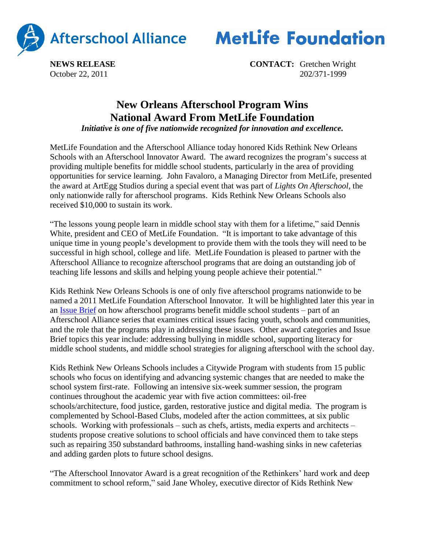



**NEWS RELEASE CONTACT:** Gretchen Wright October 22, 2011 202/371-1999

## **New Orleans Afterschool Program Wins National Award From MetLife Foundation**

*Initiative is one of five nationwide recognized for innovation and excellence.*

MetLife Foundation and the Afterschool Alliance today honored Kids Rethink New Orleans Schools with an Afterschool Innovator Award. The award recognizes the program's success at providing multiple benefits for middle school students, particularly in the area of providing opportunities for service learning. John Favaloro, a Managing Director from MetLife, presented the award at ArtEgg Studios during a special event that was part of *Lights On Afterschool*, the only nationwide rally for afterschool programs. Kids Rethink New Orleans Schools also received \$10,000 to sustain its work.

"The lessons young people learn in middle school stay with them for a lifetime," said Dennis White, president and CEO of MetLife Foundation. "It is important to take advantage of this unique time in young people's development to provide them with the tools they will need to be successful in high school, college and life. MetLife Foundation is pleased to partner with the Afterschool Alliance to recognize afterschool programs that are doing an outstanding job of teaching life lessons and skills and helping young people achieve their potential."

Kids Rethink New Orleans Schools is one of only five afterschool programs nationwide to be named a 2011 MetLife Foundation Afterschool Innovator. It will be highlighted later this year in an [Issue Brief](http://www.afterschoolalliance.org/researchIssueBriefs.cfm) on how afterschool programs benefit middle school students – part of an Afterschool Alliance series that examines critical issues facing youth, schools and communities, and the role that the programs play in addressing these issues. Other award categories and Issue Brief topics this year include: addressing bullying in middle school, supporting literacy for middle school students, and middle school strategies for aligning afterschool with the school day.

Kids Rethink New Orleans Schools includes a Citywide Program with students from 15 public schools who focus on identifying and advancing systemic changes that are needed to make the school system first-rate. Following an intensive six-week summer session, the program continues throughout the academic year with five action committees: oil-free schools/architecture, food justice, garden, restorative justice and digital media. The program is complemented by School-Based Clubs, modeled after the action committees, at six public schools. Working with professionals – such as chefs, artists, media experts and architects – students propose creative solutions to school officials and have convinced them to take steps such as repairing 350 substandard bathrooms, installing hand-washing sinks in new cafeterias and adding garden plots to future school designs.

"The Afterschool Innovator Award is a great recognition of the Rethinkers' hard work and deep commitment to school reform," said Jane Wholey, executive director of Kids Rethink New